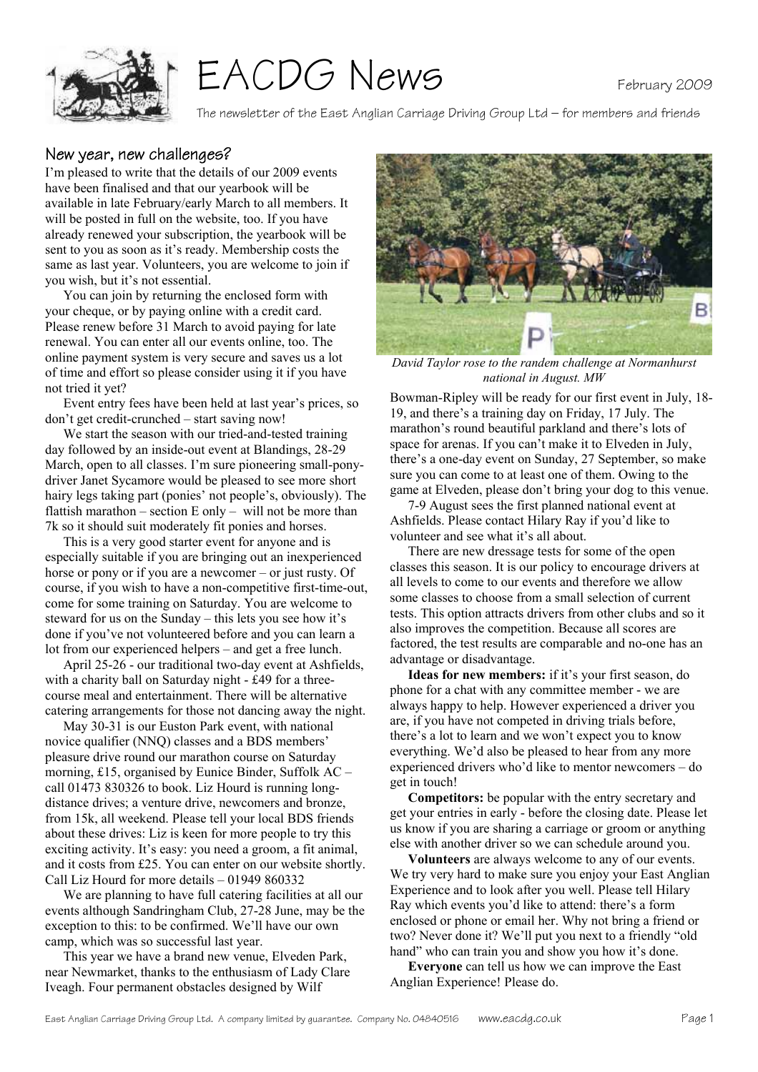

# EACDG News

The newsletter of the East Anglian Carriage Driving Group Ltd – for members and friends

#### New year, new challenges?

I'm pleased to write that the details of our 2009 events have been finalised and that our yearbook will be available in late February/early March to all members. It will be posted in full on the website, too. If you have already renewed your subscription, the yearbook will be sent to you as soon as it's ready. Membership costs the same as last year. Volunteers, you are welcome to join if you wish, but it's not essential.

 You can join by returning the enclosed form with your cheque, or by paying online with a credit card. Please renew before 31 March to avoid paying for late renewal. You can enter all our events online, too. The online payment system is very secure and saves us a lot of time and effort so please consider using it if you have not tried it yet?

 Event entry fees have been held at last year's prices, so don't get credit-crunched – start saving now!

 We start the season with our tried-and-tested training day followed by an inside-out event at Blandings, 28-29 March, open to all classes. I'm sure pioneering small-ponydriver Janet Sycamore would be pleased to see more short hairy legs taking part (ponies' not people's, obviously). The flattish marathon – section  $E$  only – will not be more than 7k so it should suit moderately fit ponies and horses.

 This is a very good starter event for anyone and is especially suitable if you are bringing out an inexperienced horse or pony or if you are a newcomer – or just rusty. Of course, if you wish to have a non-competitive first-time-out, come for some training on Saturday. You are welcome to steward for us on the Sunday – this lets you see how it's done if you've not volunteered before and you can learn a lot from our experienced helpers – and get a free lunch.

 April 25-26 - our traditional two-day event at Ashfields, with a charity ball on Saturday night - £49 for a threecourse meal and entertainment. There will be alternative catering arrangements for those not dancing away the night.

 May 30-31 is our Euston Park event, with national novice qualifier (NNQ) classes and a BDS members' pleasure drive round our marathon course on Saturday morning, £15, organised by Eunice Binder, Suffolk AC – call 01473 830326 to book. Liz Hourd is running longdistance drives; a venture drive, newcomers and bronze, from 15k, all weekend. Please tell your local BDS friends about these drives: Liz is keen for more people to try this exciting activity. It's easy: you need a groom, a fit animal, and it costs from £25. You can enter on our website shortly. Call Liz Hourd for more details – 01949 860332

 We are planning to have full catering facilities at all our events although Sandringham Club, 27-28 June, may be the exception to this: to be confirmed. We'll have our own camp, which was so successful last year.

 This year we have a brand new venue, Elveden Park, near Newmarket, thanks to the enthusiasm of Lady Clare Iveagh. Four permanent obstacles designed by Wilf



*David Taylor rose to the randem challenge at Normanhurst national in August. MW* 

Bowman-Ripley will be ready for our first event in July, 18- 19, and there's a training day on Friday, 17 July. The marathon's round beautiful parkland and there's lots of space for arenas. If you can't make it to Elveden in July, there's a one-day event on Sunday, 27 September, so make sure you can come to at least one of them. Owing to the game at Elveden, please don't bring your dog to this venue.

 7-9 August sees the first planned national event at Ashfields. Please contact Hilary Ray if you'd like to volunteer and see what it's all about.

 There are new dressage tests for some of the open classes this season. It is our policy to encourage drivers at all levels to come to our events and therefore we allow some classes to choose from a small selection of current tests. This option attracts drivers from other clubs and so it also improves the competition. Because all scores are factored, the test results are comparable and no-one has an advantage or disadvantage.

**Ideas for new members:** if it's your first season, do phone for a chat with any committee member - we are always happy to help. However experienced a driver you are, if you have not competed in driving trials before, there's a lot to learn and we won't expect you to know everything. We'd also be pleased to hear from any more experienced drivers who'd like to mentor newcomers – do get in touch!

**Competitors:** be popular with the entry secretary and get your entries in early - before the closing date. Please let us know if you are sharing a carriage or groom or anything else with another driver so we can schedule around you.

**Volunteers** are always welcome to any of our events. We try very hard to make sure you enjoy your East Anglian Experience and to look after you well. Please tell Hilary Ray which events you'd like to attend: there's a form enclosed or phone or email her. Why not bring a friend or two? Never done it? We'll put you next to a friendly "old hand" who can train you and show you how it's done.

**Everyone** can tell us how we can improve the East Anglian Experience! Please do.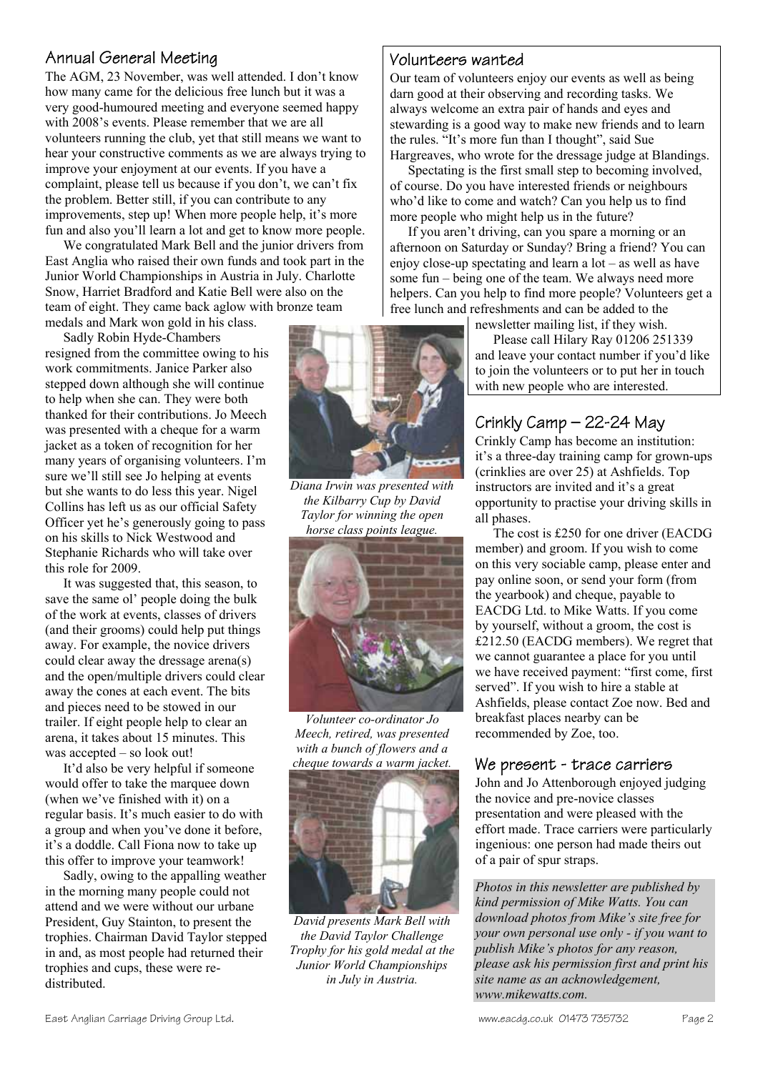### Annual General Meeting

The AGM, 23 November, was well attended. I don't know how many came for the delicious free lunch but it was a very good-humoured meeting and everyone seemed happy with 2008's events. Please remember that we are all volunteers running the club, yet that still means we want to hear your constructive comments as we are always trying to improve your enjoyment at our events. If you have a complaint, please tell us because if you don't, we can't fix the problem. Better still, if you can contribute to any improvements, step up! When more people help, it's more fun and also you'll learn a lot and get to know more people.

 We congratulated Mark Bell and the junior drivers from East Anglia who raised their own funds and took part in the Junior World Championships in Austria in July. Charlotte Snow, Harriet Bradford and Katie Bell were also on the team of eight. They came back aglow with bronze team

medals and Mark won gold in his class.

 Sadly Robin Hyde-Chambers resigned from the committee owing to his work commitments. Janice Parker also stepped down although she will continue to help when she can. They were both thanked for their contributions. Jo Meech was presented with a cheque for a warm jacket as a token of recognition for her many years of organising volunteers. I'm sure we'll still see Jo helping at events but she wants to do less this year. Nigel Collins has left us as our official Safety Officer yet he's generously going to pass on his skills to Nick Westwood and Stephanie Richards who will take over this role for 2009.

 It was suggested that, this season, to save the same ol' people doing the bulk of the work at events, classes of drivers (and their grooms) could help put things away. For example, the novice drivers could clear away the dressage arena(s) and the open/multiple drivers could clear away the cones at each event. The bits and pieces need to be stowed in our trailer. If eight people help to clear an arena, it takes about 15 minutes. This was accepted – so look out!

 It'd also be very helpful if someone would offer to take the marquee down (when we've finished with it) on a regular basis. It's much easier to do with a group and when you've done it before, it's a doddle. Call Fiona now to take up this offer to improve your teamwork!

 Sadly, owing to the appalling weather in the morning many people could not attend and we were without our urbane President, Guy Stainton, to present the trophies. Chairman David Taylor stepped in and, as most people had returned their trophies and cups, these were redistributed.



*Diana Irwin was presented with the Kilbarry Cup by David Taylor for winning the open horse class points league.* 



*Volunteer co-ordinator Jo Meech, retired, was presented with a bunch of flowers and a cheque towards a warm jacket.* 



*David presents Mark Bell with the David Taylor Challenge Trophy for his gold medal at the Junior World Championships in July in Austria.* 

#### Volunteers wanted

Our team of volunteers enjoy our events as well as being darn good at their observing and recording tasks. We always welcome an extra pair of hands and eyes and stewarding is a good way to make new friends and to learn the rules. "It's more fun than I thought", said Sue Hargreaves, who wrote for the dressage judge at Blandings.

 Spectating is the first small step to becoming involved, of course. Do you have interested friends or neighbours who'd like to come and watch? Can you help us to find more people who might help us in the future?

 If you aren't driving, can you spare a morning or an afternoon on Saturday or Sunday? Bring a friend? You can enjoy close-up spectating and learn a lot – as well as have some fun – being one of the team. We always need more helpers. Can you help to find more people? Volunteers get a free lunch and refreshments and can be added to the

newsletter mailing list, if they wish.

 Please call Hilary Ray 01206 251339 and leave your contact number if you'd like to join the volunteers or to put her in touch with new people who are interested.

# Crinkly Camp – 22-24 May

Crinkly Camp has become an institution: it's a three-day training camp for grown-ups (crinklies are over 25) at Ashfields. Top instructors are invited and it's a great opportunity to practise your driving skills in all phases.

 The cost is £250 for one driver (EACDG member) and groom. If you wish to come on this very sociable camp, please enter and pay online soon, or send your form (from the yearbook) and cheque, payable to EACDG Ltd. to Mike Watts. If you come by yourself, without a groom, the cost is £212.50 (EACDG members). We regret that we cannot guarantee a place for you until we have received payment: "first come, first served". If you wish to hire a stable at Ashfields, please contact Zoe now. Bed and breakfast places nearby can be recommended by Zoe, too.

#### We present - trace carriers

John and Jo Attenborough enjoyed judging the novice and pre-novice classes presentation and were pleased with the effort made. Trace carriers were particularly ingenious: one person had made theirs out of a pair of spur straps.

*Photos in this newsletter are published by kind permission of Mike Watts. You can download photos from Mike's site free for your own personal use only - if you want to publish Mike's photos for any reason, please ask his permission first and print his site name as an acknowledgement, www.mikewatts.com.*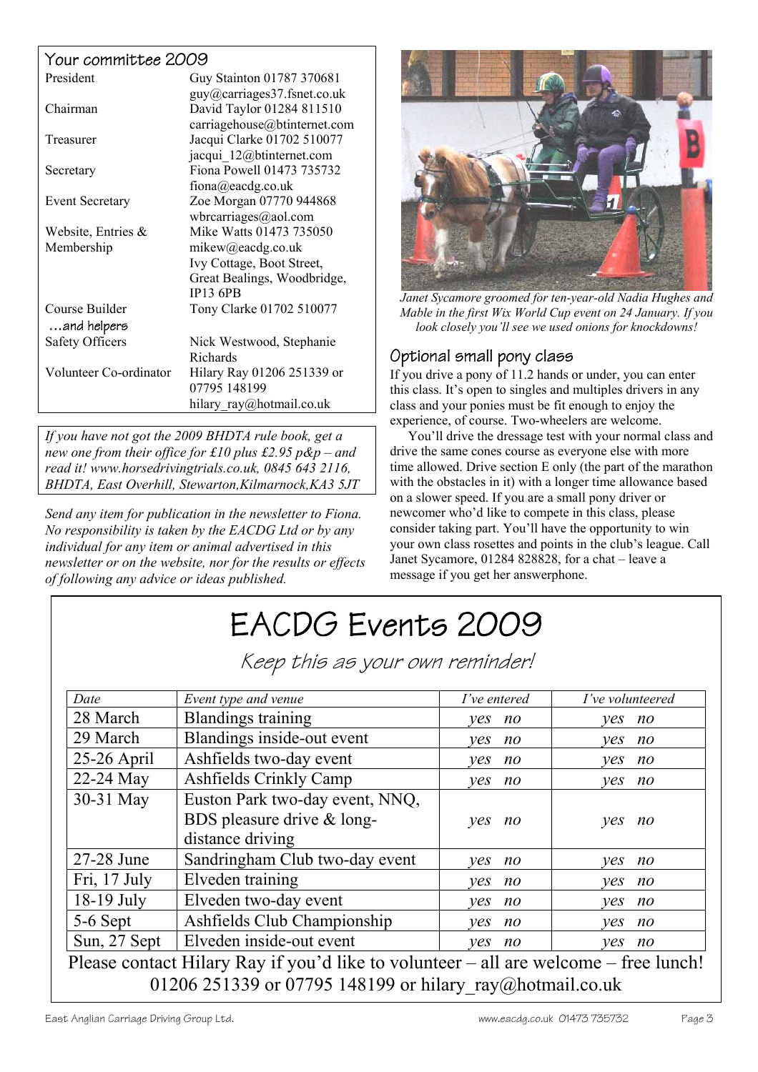#### Your committee 2009

| President              | Guy Stainton 01787 370681    |
|------------------------|------------------------------|
|                        | guy@carriages37.fsnet.co.uk  |
| Chairman               | David Taylor 01284 811510    |
|                        | carriagehouse@btinternet.com |
| Treasurer              | Jacqui Clarke 01702 510077   |
|                        | jacqui 12@btinternet.com     |
| Secretary              | Fiona Powell 01473 735732    |
|                        | fiona@eacdg.co.uk            |
| <b>Event Secretary</b> | Zoe Morgan 07770 944868      |
|                        | wbrearriages@aol.com         |
| Website, Entries $\&$  | Mike Watts 01473 735050      |
| Membership             | mikew@eacdg.co.uk            |
|                        | Ivy Cottage, Boot Street,    |
|                        | Great Bealings, Woodbridge,  |
|                        | <b>IP13 6PB</b>              |
| Course Builder         | Tony Clarke 01702 510077     |
| and helpers            |                              |
| <b>Safety Officers</b> | Nick Westwood, Stephanie     |
|                        | Richards                     |
| Volunteer Co-ordinator | Hilary Ray 01206 251339 or   |
|                        | 07795 148199                 |
|                        | hilary ray@hotmail.co.uk     |

*If you have not got the 2009 BHDTA rule book, get a new one from their office for £10 plus £2.95 p&p – and read it! www.horsedrivingtrials.co.uk, 0845 643 2116, BHDTA, East Overhill, Stewarton,Kilmarnock,KA3 5JT* 

*Send any item for publication in the newsletter to Fiona. No responsibility is taken by the EACDG Ltd or by any individual for any item or animal advertised in this newsletter or on the website, nor for the results or effects of following any advice or ideas published.* 



*Janet Sycamore groomed for ten-year-old Nadia Hughes and Mable in the first Wix World Cup event on 24 January. If you look closely you'll see we used onions for knockdowns!* 

#### Optional small pony class

If you drive a pony of 11.2 hands or under, you can enter this class. It's open to singles and multiples drivers in any class and your ponies must be fit enough to enjoy the experience, of course. Two-wheelers are welcome.

 You'll drive the dressage test with your normal class and drive the same cones course as everyone else with more time allowed. Drive section E only (the part of the marathon with the obstacles in it) with a longer time allowance based on a slower speed. If you are a small pony driver or newcomer who'd like to compete in this class, please consider taking part. You'll have the opportunity to win your own class rosettes and points in the club's league. Call Janet Sycamore, 01284 828828, for a chat – leave a message if you get her answerphone.

# EACDG Events 2009

Keep this as your own reminder!

| Event type and venue            | I've entered   | I've volunteered                                                                         |
|---------------------------------|----------------|------------------------------------------------------------------------------------------|
| <b>Blandings training</b>       | no<br>ves      | no<br>ves                                                                                |
| Blandings inside-out event      | $n_{O}$<br>ves | ves<br>no                                                                                |
| Ashfields two-day event         | no<br>ves      | no<br>ves                                                                                |
| Ashfields Crinkly Camp          | no<br>ves      | yes<br>$n$ o                                                                             |
| Euston Park two-day event, NNQ, |                |                                                                                          |
| BDS pleasure drive & long-      | yes<br>no      | yes<br>no                                                                                |
| distance driving                |                |                                                                                          |
| Sandringham Club two-day event  | ves<br>no      | yes<br>no                                                                                |
| Elveden training                | no<br>ves      | no<br>ves                                                                                |
| Elveden two-day event           | $n_{O}$<br>ves | no<br>ves                                                                                |
| Ashfields Club Championship     | ves<br>no      | ves<br>no                                                                                |
| Elveden inside-out event        | ves<br>no      | ves<br>no                                                                                |
|                                 |                |                                                                                          |
|                                 |                | Please contact Hilary Ray if you'd like to volunteer $-$ all are welcome $-$ free lunch! |

01206 251339 or 07795 148199 or hilary ray@hotmail.co.uk